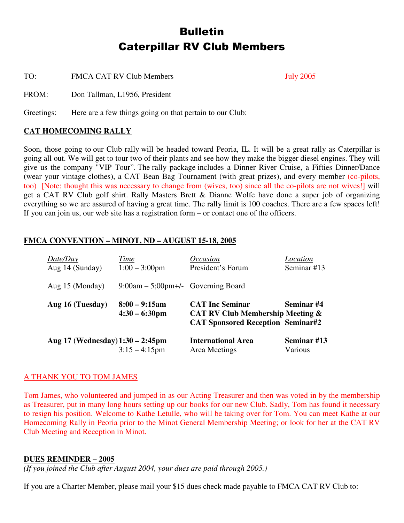# **Bulletin Caterpillar RV Club Members**

TO: FMCA CAT RV Club Members July 2005

FROM: Don Tallman, L1956, President

Greetings: Here are a few things going on that pertain to our Club:

# **CAT HOMECOMING RALLY**

Soon, those going to our Club rally will be headed toward Peoria, IL. It will be a great rally as Caterpillar is going all out. We will get to tour two of their plants and see how they make the bigger diesel engines. They will give us the company "VIP Tour". The rally package includes a Dinner River Cruise, a Fifties Dinner/Dance (wear your vintage clothes), a CAT Bean Bag Tournament (with great prizes), and every member (co-pilots, too) [Note: thought this was necessary to change from (wives, too) since all the co-pilots are not wives!] will get a CAT RV Club golf shirt. Rally Masters Brett & Dianne Wolfe have done a super job of organizing everything so we are assured of having a great time. The rally limit is 100 coaches. There are a few spaces left! If you can join us, our web site has a registration form – or contact one of the officers.

# **FMCA CONVENTION – MINOT, ND – AUGUST 15-18, 2005**

| Date/Day<br>Aug 14 (Sunday)      | Time<br>$1:00 - 3:00$ pm                    | <i>Occasion</i><br>President's Forum                                                                              | Location<br>Seminar #13 |
|----------------------------------|---------------------------------------------|-------------------------------------------------------------------------------------------------------------------|-------------------------|
| Aug 15 (Monday)                  | $9:00am - 5:00pm +/-$ Governing Board       |                                                                                                                   |                         |
| Aug 16 (Tuesday)                 | $8:00 - 9:15$ am<br>$4:30 - 6:30 \text{pm}$ | <b>CAT Inc Seminar</b><br><b>CAT RV Club Membership Meeting &amp;</b><br><b>CAT Sponsored Reception Seminar#2</b> | Seminar #4              |
| Aug 17 (Wednesday) 1:30 – 2:45pm | $3:15 - 4:15$ pm                            | <b>International Area</b><br>Area Meetings                                                                        | Seminar #13<br>Various  |

### A THANK YOU TO TOM JAMES

Tom James, who volunteered and jumped in as our Acting Treasurer and then was voted in by the membership as Treasurer, put in many long hours setting up our books for our new Club. Sadly, Tom has found it necessary to resign his position. Welcome to Kathe Letulle, who will be taking over for Tom. You can meet Kathe at our Homecoming Rally in Peoria prior to the Minot General Membership Meeting; or look for her at the CAT RV Club Meeting and Reception in Minot.

### **DUES REMINDER – 2005**

*(If you joined the Club after August 2004, your dues are paid through 2005.)*

If you are a Charter Member, please mail your \$15 dues check made payable to FMCA CAT RV Club to: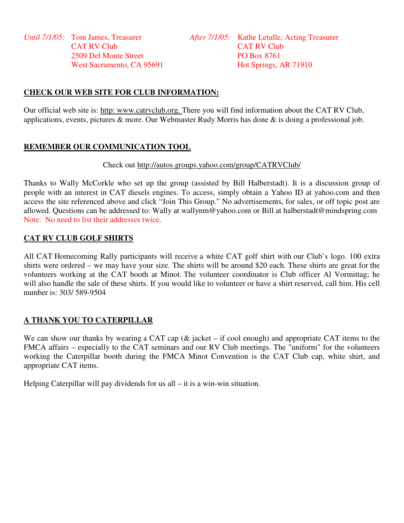# **CHECK OUR WEB SITE FOR CLUB INFORMATION:**

Our official web site is: http: www.catrvclub.org. There you will find information about the CAT RV Club, applications, events, pictures & more. Our Webmaster Rudy Morris has done & is doing a professional job.

# **REMEMBER OUR COMMUNICATION TOOL**

### Check out http://autos.groups.yahoo.com/group/CATRVClub/

Thanks to Wally McCorkle who set up the group (assisted by Bill Halberstadt). It is a discussion group of people with an interest in CAT diesels engines. To access, simply obtain a Yahoo ID at yahoo.com and then access the site referenced above and click "Join This Group." No advertisements, for sales, or off topic post are allowed. Questions can be addressed to: Wally at wallynm@yahoo.com or Bill at halberstadt@mindspring.com Note: No need to list their addresses twice.

## **CAT RV CLUB GOLF SHIRTS**

All CAT Homecoming Rally participants will receive a white CAT golf shirt with our Club's logo. 100 extra shirts were ordered – we may have your size. The shirts will be around \$20 each. These shirts are great for the volunteers working at the CAT booth at Minot. The volunteer coordinator is Club officer Al Vormittag; he will also handle the sale of these shirts. If you would like to volunteer or have a shirt reserved, call him. His cell number is: 303/ 589-9504

# **A THANK YOU TO CATERPILLAR**

We can show our thanks by wearing a CAT cap ( $\&$  jacket – if cool enough) and appropriate CAT items to the FMCA affairs – especially to the CAT seminars and our RV Club meetings. The "uniform" for the volunteers working the Caterpillar booth during the FMCA Minot Convention is the CAT Club cap, white shirt, and appropriate CAT items.

Helping Caterpillar will pay dividends for us all – it is a win-win situation.